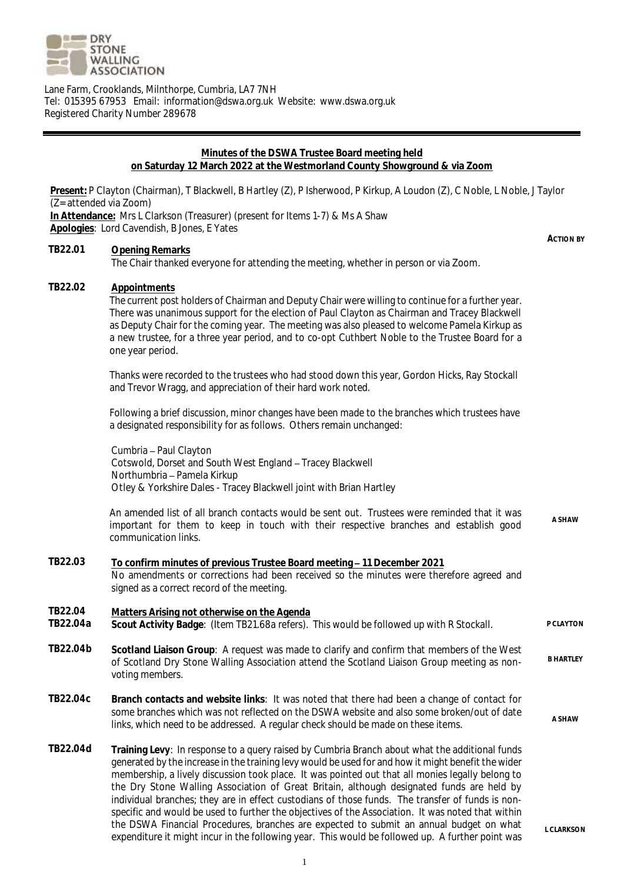

Lane Farm, Crooklands, Milnthorpe, Cumbria, LA7 7NH Tel: 015395 67953 Email: information@dswa.org.uk Website: www.dswa.org.uk Registered Charity Number 289678

# **Minutes of the DSWA Trustee Board meeting held on Saturday 12 March 2022 at the Westmorland County Showground & via Zoom**

**Present:** P Clayton (Chairman), T Blackwell, B Hartley (Z), P Isherwood, P Kirkup, A Loudon (Z), C Noble, L Noble, J Taylor (Z= attended via Zoom) **In Attendance:** Mrs L Clarkson (Treasurer) (present for Items 1-7) & Ms A Shaw **Apologies**: Lord Cavendish, B Jones, E Yates **ACTION BY TB22.01 Opening Remarks** The Chair thanked everyone for attending the meeting, whether in person or via Zoom. **TB22.02 Appointments**

The current post holders of Chairman and Deputy Chair were willing to continue for a further year. There was unanimous support for the election of Paul Clayton as Chairman and Tracey Blackwell as Deputy Chair for the coming year. The meeting was also pleased to welcome Pamela Kirkup as a new trustee, for a three year period, and to co-opt Cuthbert Noble to the Trustee Board for a one year period.

Thanks were recorded to the trustees who had stood down this year, Gordon Hicks, Ray Stockall and Trevor Wragg, and appreciation of their hard work noted.

Following a brief discussion, minor changes have been made to the branches which trustees have a designated responsibility for as follows. Others remain unchanged:

Cumbria - Paul Clayton Cotswold, Dorset and South West England - Tracey Blackwell Northumbria - Pamela Kirkup Otley & Yorkshire Dales - Tracey Blackwell joint with Brian Hartley

An amended list of all branch contacts would be sent out. Trustees were reminded that it was important for them to keep in touch with their respective branches and establish good communication links. **A SHAW**

- **TB22.03 To confirm minutes of previous Trustee Board meeting 11 December 2021** No amendments or corrections had been received so the minutes were therefore agreed and signed as a correct record of the meeting.
- **TB22.04 Matters Arising not otherwise on the Agenda**
- **Scout Activity Badge: (Item TB21.68a refers). This would be followed up with R Stockall.** PCLAYTON
- **TB22.04b Scotland Liaison Group**: A request was made to clarify and confirm that members of the West of Scotland Dry Stone Walling Association attend the Scotland Liaison Group meeting as nonvoting members. **B HARTLEY**
- **TB22.04c Branch contacts and website links**: It was noted that there had been a change of contact for some branches which was not reflected on the DSWA website and also some broken/out of date Some pranches which was not reflected on the DSWA website and also some proveribod or date a shaw<br>links, which need to be addressed. A regular check should be made on these items.
- **TB22.04d Training Levy**: In response to a query raised by Cumbria Branch about what the additional funds generated by the increase in the training levy would be used for and how it might benefit the wider membership, a lively discussion took place. It was pointed out that all monies legally belong to the Dry Stone Walling Association of Great Britain, although designated funds are held by individual branches; they are in effect custodians of those funds. The transfer of funds is nonspecific and would be used to further the objectives of the Association. It was noted that within the DSWA Financial Procedures, branches are expected to submit an annual budget on what expenditure it might incur in the following year. This would be followed up. A further point was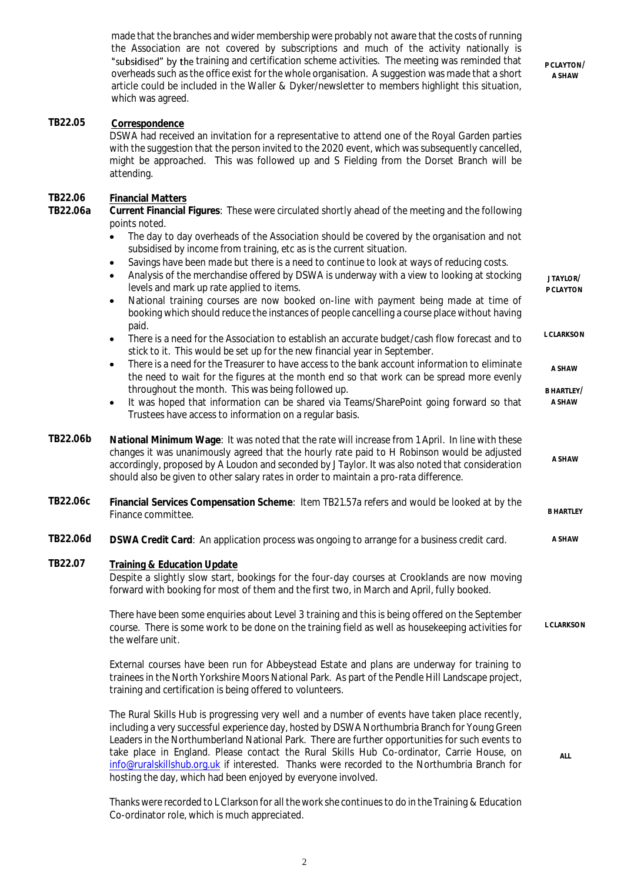made that the branches and wider membership were probably not aware that the costs of running the Association are not covered by subscriptions and much of the activity nationally is "subsidised" by the training and certification scheme activities. The meeting was reminded that overheads such as the office exist for the whole organisation. A suggestion was made that a short article could be included in the Waller & Dyker/newsletter to members highlight this situation, which was agreed.

**P CLAYTON/ A SHAW**

### **TB22.05 Correspondence**

DSWA had received an invitation for a representative to attend one of the Royal Garden parties with the suggestion that the person invited to the 2020 event, which was subsequently cancelled, might be approached. This was followed up and S Fielding from the Dorset Branch will be attending.

### **TB22.06 Financial Matters**

**TB22.06a Current Financial Figures**: These were circulated shortly ahead of the meeting and the following points noted.

- The day to day overheads of the Association should be covered by the organisation and not subsidised by income from training, etc as is the current situation.
- Savings have been made but there is a need to continue to look at ways of reducing costs.

|          | Analysis of the merchandise offered by DSWA is underway with a view to looking at stocking<br>levels and mark up rate applied to items.<br>National training courses are now booked on-line with payment being made at time of<br>booking which should reduce the instances of people cancelling a course place without having                                                                                                                                                                   | JTAYLOR/<br>P CLAYTON |
|----------|--------------------------------------------------------------------------------------------------------------------------------------------------------------------------------------------------------------------------------------------------------------------------------------------------------------------------------------------------------------------------------------------------------------------------------------------------------------------------------------------------|-----------------------|
|          | paid.<br>There is a need for the Association to establish an accurate budget/cash flow forecast and to<br>$\bullet$<br>stick to it. This would be set up for the new financial year in September.                                                                                                                                                                                                                                                                                                | <b>L CLARKSON</b>     |
|          | There is a need for the Treasurer to have access to the bank account information to eliminate<br>$\bullet$<br>the need to wait for the figures at the month end so that work can be spread more evenly                                                                                                                                                                                                                                                                                           | A SHAW                |
|          | throughout the month. This was being followed up.<br>It was hoped that information can be shared via Teams/SharePoint going forward so that<br>$\bullet$<br>Trustees have access to information on a regular basis.                                                                                                                                                                                                                                                                              | B HARTLEY/<br>A SHAW  |
| TB22.06b | National Minimum Wage: It was noted that the rate will increase from 1 April. In line with these<br>changes it was unanimously agreed that the hourly rate paid to H Robinson would be adjusted<br>accordingly, proposed by A Loudon and seconded by J Taylor. It was also noted that consideration<br>should also be given to other salary rates in order to maintain a pro-rata difference.                                                                                                    | A SHAW                |
| TB22.06c | Financial Services Compensation Scheme: Item TB21.57a refers and would be looked at by the<br>Finance committee.                                                                                                                                                                                                                                                                                                                                                                                 | <b>B HARTLEY</b>      |
| TB22.06d | DSWA Credit Card: An application process was ongoing to arrange for a business credit card.                                                                                                                                                                                                                                                                                                                                                                                                      | A SHAW                |
| TB22.07  | Training & Education Update<br>Despite a slightly slow start, bookings for the four-day courses at Crooklands are now moving<br>forward with booking for most of them and the first two, in March and April, fully booked.                                                                                                                                                                                                                                                                       |                       |
|          | There have been some enquiries about Level 3 training and this is being offered on the September<br>course. There is some work to be done on the training field as well as housekeeping activities for<br>the welfare unit.                                                                                                                                                                                                                                                                      | <b>L CLARKSON</b>     |
|          | External courses have been run for Abbeystead Estate and plans are underway for training to<br>trainees in the North Yorkshire Moors National Park. As part of the Pendle Hill Landscape project,<br>training and certification is being offered to volunteers.                                                                                                                                                                                                                                  |                       |
|          | The Rural Skills Hub is progressing very well and a number of events have taken place recently,<br>including a very successful experience day, hosted by DSWA Northumbria Branch for Young Green<br>Leaders in the Northumberland National Park. There are further opportunities for such events to<br>take place in England. Please contact the Rural Skills Hub Co-ordinator, Carrie House, on<br>info@ruralskillshub.org.uk if interested. Thanks were recorded to the Northumbria Branch for | ALL                   |

Thanks were recorded to L Clarkson for all the work she continues to do in the Training & Education Co-ordinator role, which is much appreciated.

hosting the day, which had been enjoyed by everyone involved.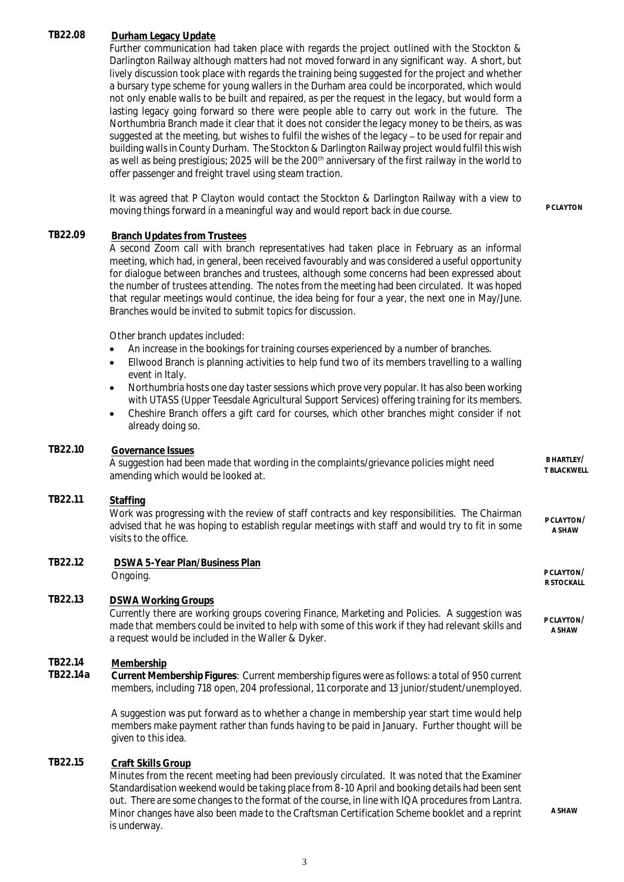# **TB22.08 Durham Legacy Update**

Further communication had taken place with regards the project outlined with the Stockton & Darlington Railway although matters had not moved forward in any significant way. A short, but lively discussion took place with regards the training being suggested for the project and whether a bursary type scheme for young wallers in the Durham area could be incorporated, which would not only enable walls to be built and repaired, as per the request in the legacy, but would form a lasting legacy going forward so there were people able to carry out work in the future. The Northumbria Branch made it clear that it does not consider the legacy money to be theirs, as was suggested at the meeting, but wishes to fulfil the wishes of the legacy - to be used for repair and building walls in County Durham. The Stockton & Darlington Railway project would fulfil this wish as well as being prestigious; 2025 will be the 200<sup>th</sup> anniversary of the first railway in the world to offer passenger and freight travel using steam traction.

It was agreed that P Clayton would contact the Stockton & Darlington Railway with a view to moving things forward in a meaningful way and would report back in due course.

## **TB22.09 Branch Updates from Trustees**

A second Zoom call with branch representatives had taken place in February as an informal meeting, which had, in general, been received favourably and was considered a useful opportunity for dialogue between branches and trustees, although some concerns had been expressed about the number of trustees attending. The notes from the meeting had been circulated. It was hoped that regular meetings would continue, the idea being for four a year, the next one in May/June. Branches would be invited to submit topics for discussion.

Other branch updates included:

- An increase in the bookings for training courses experienced by a number of branches.
- Ellwood Branch is planning activities to help fund two of its members travelling to a walling event in Italy.
- Northumbria hosts one day taster sessions which prove very popular. It has also been working with UTASS (Upper Teesdale Agricultural Support Services) offering training for its members.
- Cheshire Branch offers a gift card for courses, which other branches might consider if not already doing so.

#### **TB22.10 Governance Issues**

A suggestion had been made that wording in the complaints/grievance policies might need amending which would be looked at.

# **TB22.11 Staffing**

Work was progressing with the review of staff contracts and key responsibilities. The Chairman advised that he was hoping to establish regular meetings with staff and would try to fit in some visits to the office. **P CLAYTON/ A SHAW**

**TB22.12 DSWA 5-Year Plan/Business Plan** Ongoing. **P CLAYTON/**

# **TB22.13 DSWA Working Groups**

Currently there are working groups covering Finance, Marketing and Policies. A suggestion was made that members could be invited to help with some of this work if they had relevant skills and a request would be included in the Waller & Dyker.

# **TB22.14 Membership**

**TB22.14a Current Membership Figures**: Current membership figures were as follows: a total of 950 current members, including 718 open, 204 professional, 11 corporate and 13 junior/student/unemployed.

A suggestion was put forward as to whether a change in membership year start time would help members make payment rather than funds having to be paid in January. Further thought will be given to this idea.

# **TB22.15 Craft Skills Group**

Minutes from the recent meeting had been previously circulated. It was noted that the Examiner Standardisation weekend would be taking place from 8-10 April and booking details had been sent out. There are some changes to the format of the course, in line with IQA procedures from Lantra. Minor changes have also been made to the Craftsman Certification Scheme booklet and a reprint is underway.

**R STOCKALL**

**B HARTLEY/ T BLACKWELL**

**P CLAYTON/ A SHAW**